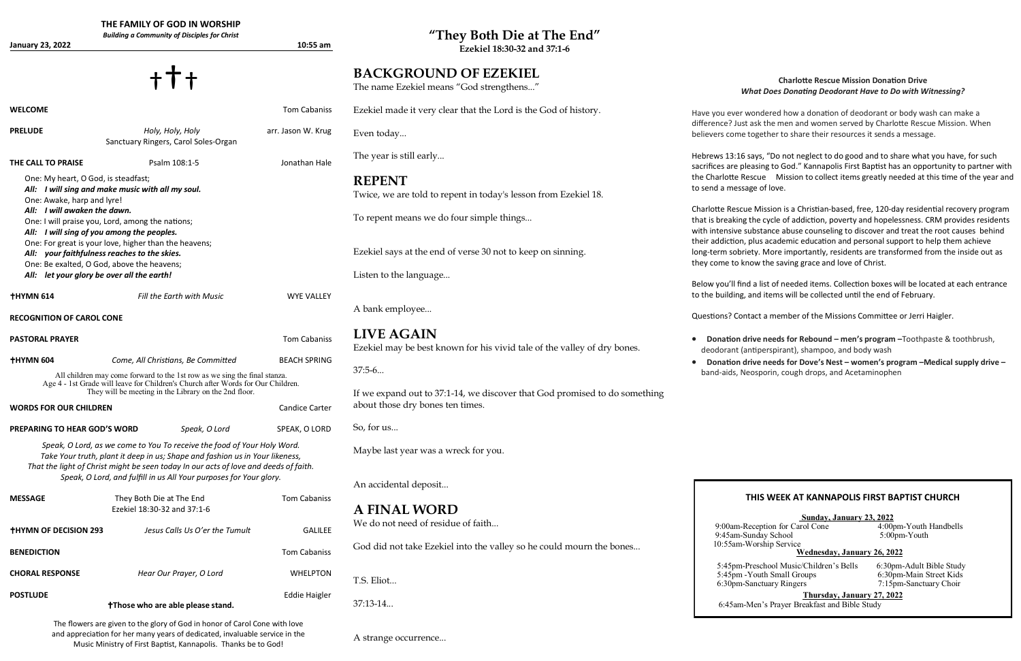| January 23, 2022                                                                                                                                                                                                                                                                                                                                                                                                | THE FAMILY OF GOD IN WORSHIP<br><b>Building a Community of Disciples for Christ</b> | $10:55$ am           | "They Both Die at The End"<br>Ezekiel 18:30-32 and 37:1-6                                     |                                                                                                                                                                                                                                                                          |  |
|-----------------------------------------------------------------------------------------------------------------------------------------------------------------------------------------------------------------------------------------------------------------------------------------------------------------------------------------------------------------------------------------------------------------|-------------------------------------------------------------------------------------|----------------------|-----------------------------------------------------------------------------------------------|--------------------------------------------------------------------------------------------------------------------------------------------------------------------------------------------------------------------------------------------------------------------------|--|
|                                                                                                                                                                                                                                                                                                                                                                                                                 |                                                                                     |                      | <b>BACKGROUND OF EZEKIEL</b><br>The name Ezekiel means "God strengthens"                      | <b>Charlotte Rescue Mission Donation Drive</b><br><b>What Does Donating Deodorant Have to Do with Witnessing?</b>                                                                                                                                                        |  |
| <b>WELCOME</b>                                                                                                                                                                                                                                                                                                                                                                                                  |                                                                                     | Tom Cabaniss         | Ezekiel made it very clear that the Lord is the God of history.                               | Have you ever wondered how a donation of deodorant or body wash can make a                                                                                                                                                                                               |  |
| <b>PRELUDE</b>                                                                                                                                                                                                                                                                                                                                                                                                  | Holy, Holy, Holy<br>Sanctuary Ringers, Carol Soles-Organ                            | arr. Jason W. Krug   | Even today                                                                                    | difference? Just ask the men and women served by Charlotte Rescue Mission. When<br>believers come together to share their resources it sends a message.                                                                                                                  |  |
| THE CALL TO PRAISE                                                                                                                                                                                                                                                                                                                                                                                              | Psalm 108:1-5                                                                       | Jonathan Hale        | The year is still early                                                                       | Hebrews 13:16 says, "Do not neglect to do good and to share what you have, for such<br>sacrifices are pleasing to God." Kannapolis First Baptist has an opportunity to partner                                                                                           |  |
| One: My heart, O God, is steadfast;<br>All: I will sing and make music with all my soul.<br>One: Awake, harp and lyre!<br>All: I will awaken the dawn.<br>One: I will praise you, Lord, among the nations;<br>All: I will sing of you among the peoples.<br>One: For great is your love, higher than the heavens;<br>All: your faithfulness reaches to the skies.<br>One: Be exalted, O God, above the heavens; |                                                                                     |                      | <b>REPENT</b><br>Twice, we are told to repent in today's lesson from Ezekiel 18.              | the Charlotte Rescue Mission to collect items greatly needed at this time of the yea<br>to send a message of love.                                                                                                                                                       |  |
|                                                                                                                                                                                                                                                                                                                                                                                                                 |                                                                                     |                      | To repent means we do four simple things                                                      | Charlotte Rescue Mission is a Christian-based, free, 120-day residential recovery prog<br>that is breaking the cycle of addiction, poverty and hopelessness. CRM provides reside<br>with intensive substance abuse counseling to discover and treat the root causes behi |  |
|                                                                                                                                                                                                                                                                                                                                                                                                                 |                                                                                     |                      | Ezekiel says at the end of verse 30 not to keep on sinning.                                   | their addiction, plus academic education and personal support to help them achieve<br>long-term sobriety. More importantly, residents are transformed from the inside out a<br>they come to know the saving grace and love of Christ.                                    |  |
| All: let your glory be over all the earth!                                                                                                                                                                                                                                                                                                                                                                      |                                                                                     |                      | Listen to the language                                                                        | Below you'll find a list of needed items. Collection boxes will be located at each entrai                                                                                                                                                                                |  |
| <b>THYMN 614</b><br><b>RECOGNITION OF CAROL CONE</b>                                                                                                                                                                                                                                                                                                                                                            | Fill the Earth with Music                                                           | <b>WYE VALLEY</b>    | A bank employee                                                                               | to the building, and items will be collected until the end of February.<br>Questions? Contact a member of the Missions Committee or Jerri Haigler.                                                                                                                       |  |
| <b>PASTORAL PRAYER</b>                                                                                                                                                                                                                                                                                                                                                                                          |                                                                                     | Tom Cabaniss         | <b>LIVE AGAIN</b><br>Ezekiel may be best known for his vivid tale of the valley of dry bones. | Donation drive needs for Rebound - men's program - Toothpaste & toothbrush,<br>deodorant (antiperspirant), shampoo, and body wash                                                                                                                                        |  |
| <b>THYMN 604</b>                                                                                                                                                                                                                                                                                                                                                                                                | Come, All Christians, Be Committed                                                  | <b>BEACH SPRING</b>  |                                                                                               | Donation drive needs for Dove's Nest - women's program -Medical supply drive                                                                                                                                                                                             |  |
| All children may come forward to the 1st row as we sing the final stanza.<br>Age 4 - 1st Grade will leave for Children's Church after Words for Our Children.<br>They will be meeting in the Library on the 2nd floor.                                                                                                                                                                                          |                                                                                     |                      | $37:5-6$<br>If we expand out to 37:1-14, we discover that God promised to do something        | band-aids, Neosporin, cough drops, and Acetaminophen                                                                                                                                                                                                                     |  |
| <b>WORDS FOR OUR CHILDREN</b><br><b>Candice Carter</b>                                                                                                                                                                                                                                                                                                                                                          |                                                                                     |                      | about those dry bones ten times.                                                              |                                                                                                                                                                                                                                                                          |  |
| Speak, O Lord<br>SPEAK, O LORD<br>PREPARING TO HEAR GOD'S WORD                                                                                                                                                                                                                                                                                                                                                  |                                                                                     |                      | So, for us                                                                                    |                                                                                                                                                                                                                                                                          |  |
| Speak, O Lord, as we come to You To receive the food of Your Holy Word.<br>Take Your truth, plant it deep in us; Shape and fashion us in Your likeness,<br>That the light of Christ might be seen today In our acts of love and deeds of faith.                                                                                                                                                                 |                                                                                     |                      | Maybe last year was a wreck for you.                                                          |                                                                                                                                                                                                                                                                          |  |
| Speak, O Lord, and fulfill in us All Your purposes for Your glory.                                                                                                                                                                                                                                                                                                                                              |                                                                                     |                      | An accidental deposit                                                                         |                                                                                                                                                                                                                                                                          |  |
| <b>MESSAGE</b>                                                                                                                                                                                                                                                                                                                                                                                                  | They Both Die at The End<br>Ezekiel 18:30-32 and 37:1-6                             | Tom Cabaniss         | <b>A FINAL WORD</b>                                                                           | THIS WEEK AT KANNAPOLIS FIRST BAPTIST CHURCH                                                                                                                                                                                                                             |  |
| <b>THYMN OF DECISION 293</b>                                                                                                                                                                                                                                                                                                                                                                                    | Jesus Calls Us O'er the Tumult                                                      | <b>GALILEE</b>       | We do not need of residue of faith                                                            | Sunday, January 23, 2022<br>9:00am-Reception for Carol Cone<br>4:00pm-Youth Handbells<br>9:45am-Sunday School<br>5:00pm-Youth                                                                                                                                            |  |
| <b>BENEDICTION</b>                                                                                                                                                                                                                                                                                                                                                                                              |                                                                                     | Tom Cabaniss         | God did not take Ezekiel into the valley so he could mourn the bones                          | 10:55am-Worship Service<br>Wednesday, January 26, 2022                                                                                                                                                                                                                   |  |
| <b>CHORAL RESPONSE</b>                                                                                                                                                                                                                                                                                                                                                                                          | Hear Our Prayer, O Lord                                                             | <b>WHELPTON</b>      | T.S. Eliot                                                                                    | 5:45pm-Preschool Music/Children's Bells<br>6:30pm-Adult Bible Study<br>5:45pm - Youth Small Groups<br>6:30pm-Main Street Kids<br>7:15pm-Sanctuary Choir<br>6:30pm-Sanctuary Ringers                                                                                      |  |
| <b>POSTLUDE</b>                                                                                                                                                                                                                                                                                                                                                                                                 | <b>Those who are able please stand.</b>                                             | <b>Eddie Haigler</b> | $37:13-14$                                                                                    | Thursday, January 27, 2022<br>6:45am-Men's Prayer Breakfast and Bible Study                                                                                                                                                                                              |  |
|                                                                                                                                                                                                                                                                                                                                                                                                                 |                                                                                     |                      |                                                                                               |                                                                                                                                                                                                                                                                          |  |

A strange occurrence...

for such partner with f the year and

ery program that is breaking of and hope of and hope the control. ses behind side out as

- 
- **Donation drive needs for Dove's Nest – women's program –Medical supply drive –**

The flowers are given to the glory of God in honor of Carol Cone with love and appreciation for her many years of dedicated, invaluable service in the Music Ministry of First Baptist, Kannapolis. Thanks be to God!